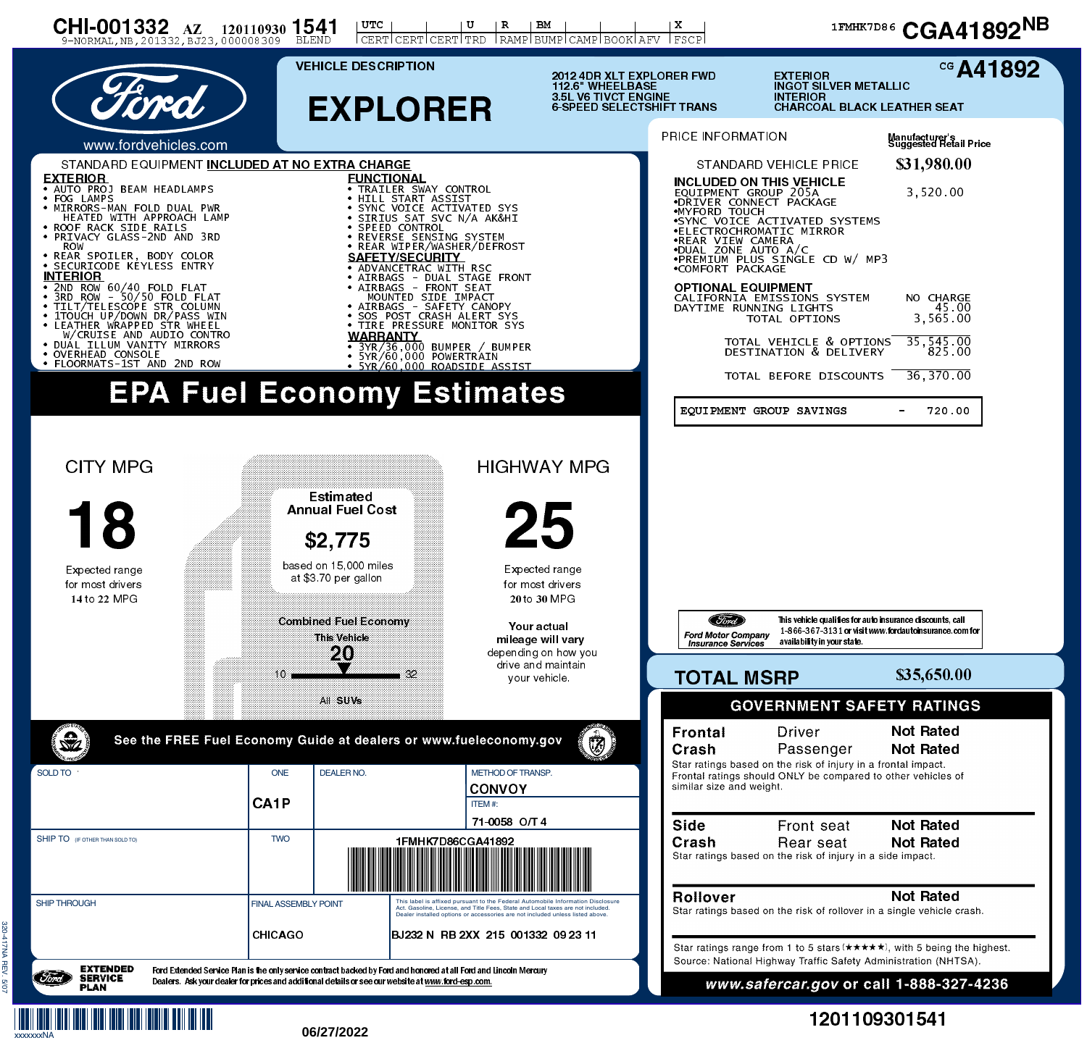

xxxxxxxNA

## 1201109301541

## **06/27/2022**